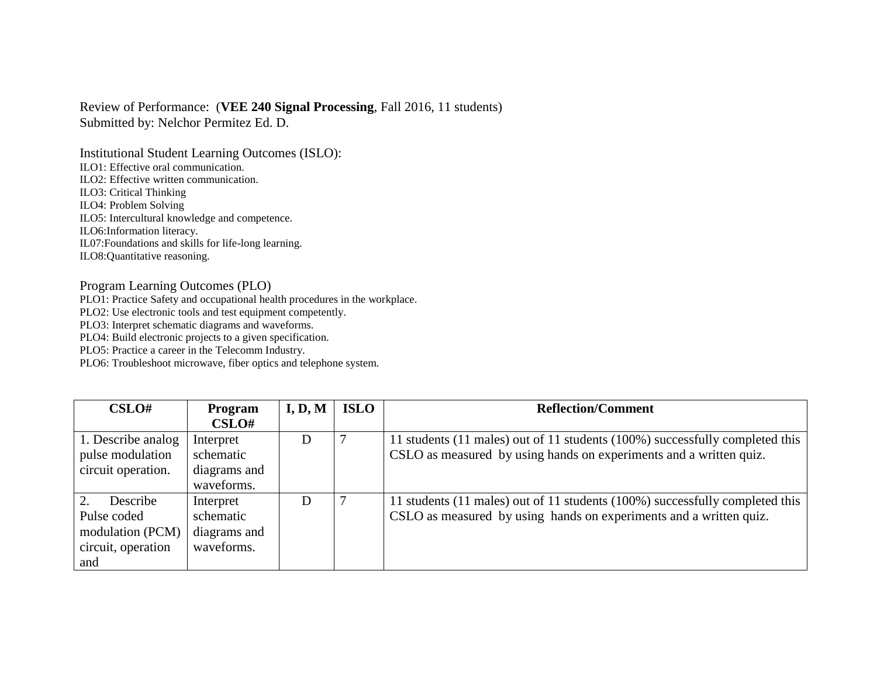## Review of Performance: (**VEE 240 Signal Processing**, Fall 2016, 11 students) Submitted by: Nelchor Permitez Ed. D.

Institutional Student Learning Outcomes (ISLO): ILO1: Effective oral communication. ILO2: Effective written communication. ILO3: Critical Thinking ILO4: Problem Solving ILO5: Intercultural knowledge and competence. ILO6:Information literacy. IL07:Foundations and skills for life-long learning. ILO8:Quantitative reasoning.

## Program Learning Outcomes (PLO)

PLO1: Practice Safety and occupational health procedures in the workplace.

PLO2: Use electronic tools and test equipment competently.

PLO3: Interpret schematic diagrams and waveforms.

PLO4: Build electronic projects to a given specification.

PLO5: Practice a career in the Telecomm Industry.

PLO6: Troubleshoot microwave, fiber optics and telephone system.

| CSLO#              | <b>Program</b> | I, D, M | <b>ISLO</b> | <b>Reflection/Comment</b>                                                    |
|--------------------|----------------|---------|-------------|------------------------------------------------------------------------------|
|                    | CSLO#          |         |             |                                                                              |
| 1. Describe analog | Interpret      | D       |             | 11 students (11 males) out of 11 students (100%) successfully completed this |
| pulse modulation   | schematic      |         |             | CSLO as measured by using hands on experiments and a written quiz.           |
| circuit operation. | diagrams and   |         |             |                                                                              |
|                    | waveforms.     |         |             |                                                                              |
| 2.<br>Describe     | Interpret      | D       |             | 11 students (11 males) out of 11 students (100%) successfully completed this |
| Pulse coded        | schematic      |         |             | CSLO as measured by using hands on experiments and a written quiz.           |
| modulation (PCM)   | diagrams and   |         |             |                                                                              |
| circuit, operation | waveforms.     |         |             |                                                                              |
| and                |                |         |             |                                                                              |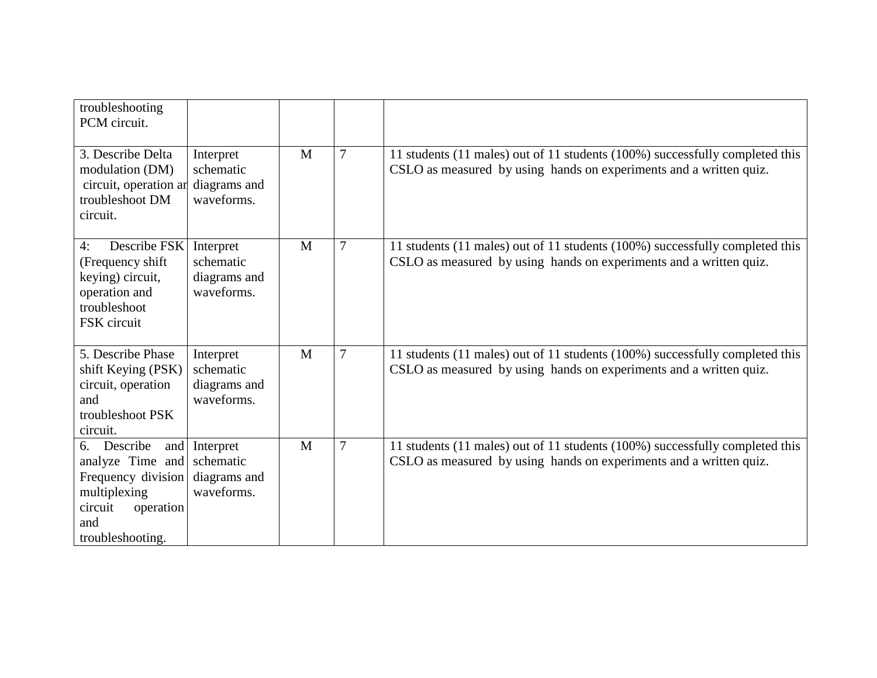| troubleshooting<br>PCM circuit.                                                                                                    |                                                      |              |                |                                                                                                                                                    |
|------------------------------------------------------------------------------------------------------------------------------------|------------------------------------------------------|--------------|----------------|----------------------------------------------------------------------------------------------------------------------------------------------------|
| 3. Describe Delta<br>modulation (DM)<br>circuit, operation ar<br>troubleshoot DM<br>circuit.                                       | Interpret<br>schematic<br>diagrams and<br>waveforms. | M            | $\overline{7}$ | 11 students (11 males) out of 11 students (100%) successfully completed this<br>CSLO as measured by using hands on experiments and a written quiz. |
| Describe FSK<br>4:<br>(Frequency shift)<br>keying) circuit,<br>operation and<br>troubleshoot<br>FSK circuit                        | Interpret<br>schematic<br>diagrams and<br>waveforms. | M            | $\overline{7}$ | 11 students (11 males) out of 11 students (100%) successfully completed this<br>CSLO as measured by using hands on experiments and a written quiz. |
| 5. Describe Phase<br>shift Keying (PSK)<br>circuit, operation<br>and<br>troubleshoot PSK<br>circuit.                               | Interpret<br>schematic<br>diagrams and<br>waveforms. | M            | $\overline{7}$ | 11 students (11 males) out of 11 students (100%) successfully completed this<br>CSLO as measured by using hands on experiments and a written quiz. |
| Describe<br>and<br>6.<br>analyze Time and<br>Frequency division<br>multiplexing<br>circuit<br>operation<br>and<br>troubleshooting. | Interpret<br>schematic<br>diagrams and<br>waveforms. | $\mathbf{M}$ | $\overline{7}$ | 11 students (11 males) out of 11 students (100%) successfully completed this<br>CSLO as measured by using hands on experiments and a written quiz. |